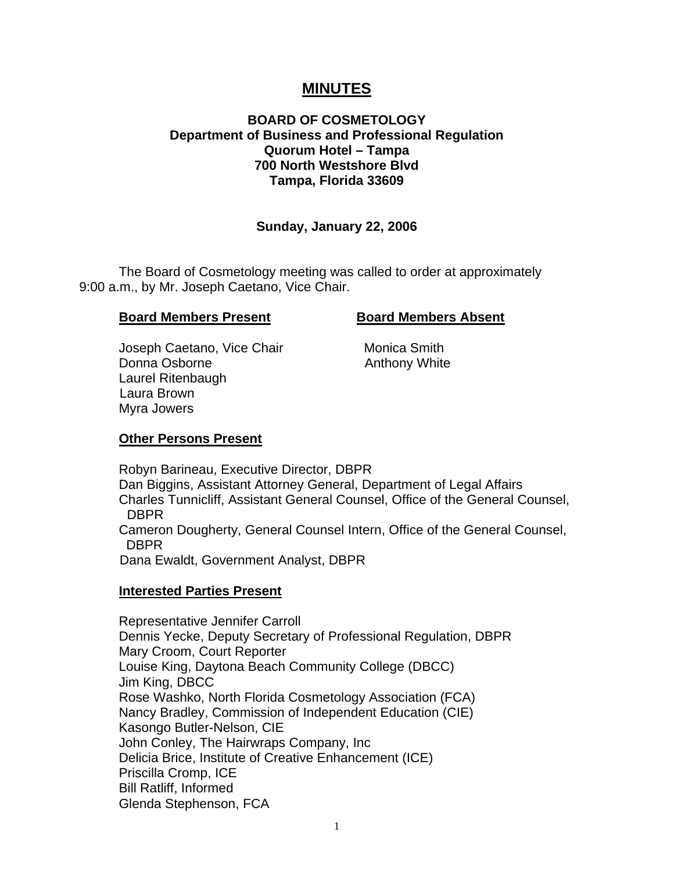# **MINUTES**

# **BOARD OF COSMETOLOGY Department of Business and Professional Regulation Quorum Hotel – Tampa 700 North Westshore Blvd Tampa, Florida 33609**

# **Sunday, January 22, 2006**

 The Board of Cosmetology meeting was called to order at approximately 9:00 a.m., by Mr. Joseph Caetano, Vice Chair.

#### **Board Members Present Board Members Absent**

Joseph Caetano, Vice Chair **Monica Smith** Donna Osborne **Anthony White**  Laurel Ritenbaugh Laura Brown Myra Jowers

# **Other Persons Present**

 Robyn Barineau, Executive Director, DBPR Dan Biggins, Assistant Attorney General, Department of Legal Affairs Charles Tunnicliff, Assistant General Counsel, Office of the General Counsel, DBPR Cameron Dougherty, General Counsel Intern, Office of the General Counsel, DBPR Dana Ewaldt, Government Analyst, DBPR

# **Interested Parties Present**

Representative Jennifer Carroll Dennis Yecke, Deputy Secretary of Professional Regulation, DBPR Mary Croom, Court Reporter Louise King, Daytona Beach Community College (DBCC) Jim King, DBCC Rose Washko, North Florida Cosmetology Association (FCA) Nancy Bradley, Commission of Independent Education (CIE) Kasongo Butler-Nelson, CIE John Conley, The Hairwraps Company, Inc Delicia Brice, Institute of Creative Enhancement (ICE) Priscilla Cromp, ICE Bill Ratliff, Informed Glenda Stephenson, FCA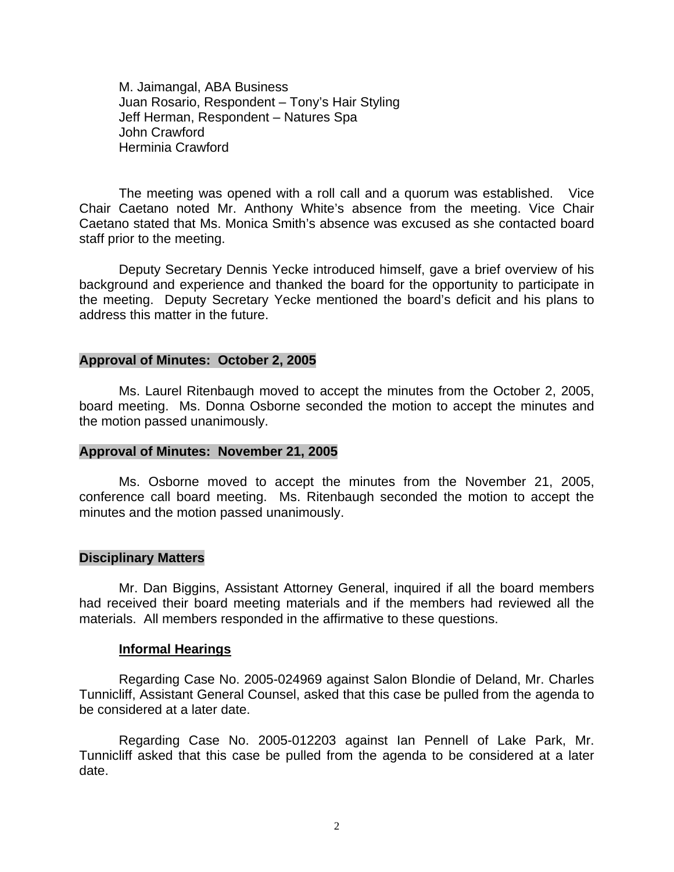M. Jaimangal, ABA Business Juan Rosario, Respondent – Tony's Hair Styling Jeff Herman, Respondent – Natures Spa John Crawford Herminia Crawford

 The meeting was opened with a roll call and a quorum was established. Vice Chair Caetano noted Mr. Anthony White's absence from the meeting. Vice Chair Caetano stated that Ms. Monica Smith's absence was excused as she contacted board staff prior to the meeting.

 Deputy Secretary Dennis Yecke introduced himself, gave a brief overview of his background and experience and thanked the board for the opportunity to participate in the meeting. Deputy Secretary Yecke mentioned the board's deficit and his plans to address this matter in the future.

#### **Approval of Minutes: October 2, 2005**

Ms. Laurel Ritenbaugh moved to accept the minutes from the October 2, 2005, board meeting. Ms. Donna Osborne seconded the motion to accept the minutes and the motion passed unanimously.

#### **Approval of Minutes: November 21, 2005**

Ms. Osborne moved to accept the minutes from the November 21, 2005, conference call board meeting. Ms. Ritenbaugh seconded the motion to accept the minutes and the motion passed unanimously.

#### **Disciplinary Matters**

Mr. Dan Biggins, Assistant Attorney General, inquired if all the board members had received their board meeting materials and if the members had reviewed all the materials. All members responded in the affirmative to these questions.

#### **Informal Hearings**

Regarding Case No. 2005-024969 against Salon Blondie of Deland, Mr. Charles Tunnicliff, Assistant General Counsel, asked that this case be pulled from the agenda to be considered at a later date.

Regarding Case No. 2005-012203 against Ian Pennell of Lake Park, Mr. Tunnicliff asked that this case be pulled from the agenda to be considered at a later date.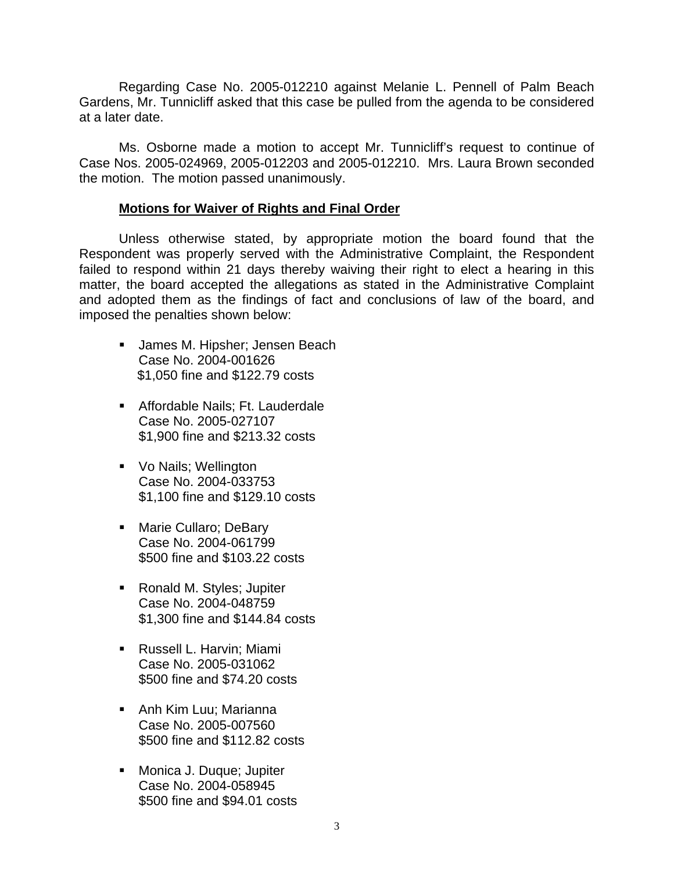Regarding Case No. 2005-012210 against Melanie L. Pennell of Palm Beach Gardens, Mr. Tunnicliff asked that this case be pulled from the agenda to be considered at a later date.

 Ms. Osborne made a motion to accept Mr. Tunnicliff's request to continue of Case Nos. 2005-024969, 2005-012203 and 2005-012210. Mrs. Laura Brown seconded the motion. The motion passed unanimously.

## **Motions for Waiver of Rights and Final Order**

 Unless otherwise stated, by appropriate motion the board found that the Respondent was properly served with the Administrative Complaint, the Respondent failed to respond within 21 days thereby waiving their right to elect a hearing in this matter, the board accepted the allegations as stated in the Administrative Complaint and adopted them as the findings of fact and conclusions of law of the board, and imposed the penalties shown below:

- **James M. Hipsher; Jensen Beach** Case No. 2004-001626 \$1,050 fine and \$122.79 costs
- **Affordable Nails; Ft. Lauderdale** Case No. 2005-027107 \$1,900 fine and \$213.32 costs
- **Vo Nails: Wellington** Case No. 2004-033753 \$1,100 fine and \$129.10 costs
- **Marie Cullaro; DeBary** Case No. 2004-061799 \$500 fine and \$103.22 costs
- Ronald M. Styles; Jupiter Case No. 2004-048759 \$1,300 fine and \$144.84 costs
- **Russell L. Harvin; Miami** Case No. 2005-031062 \$500 fine and \$74.20 costs
- **Anh Kim Luu; Marianna** Case No. 2005-007560 \$500 fine and \$112.82 costs
- **Monica J. Duque; Jupiter** Case No. 2004-058945 \$500 fine and \$94.01 costs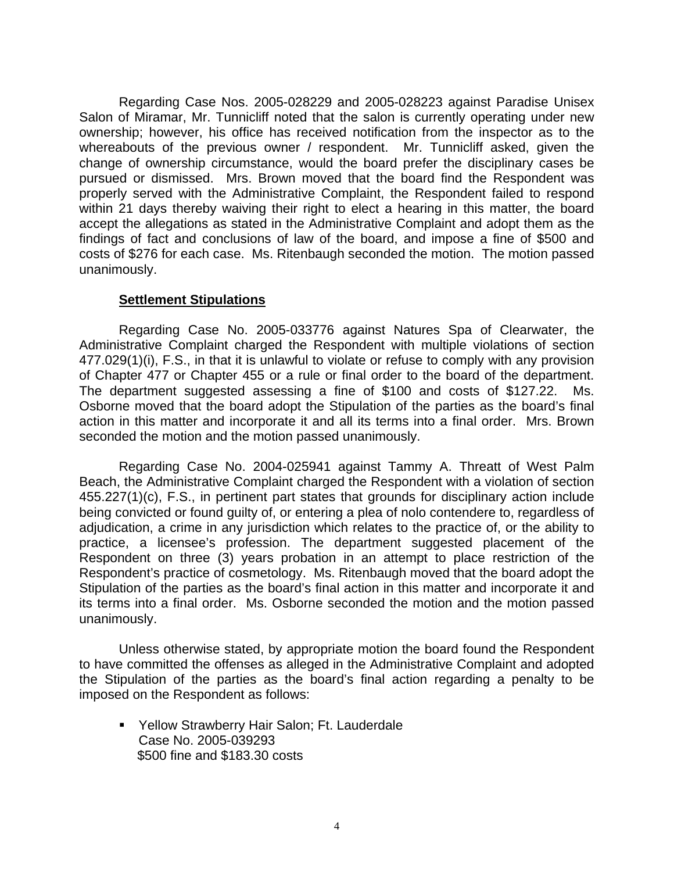Regarding Case Nos. 2005-028229 and 2005-028223 against Paradise Unisex Salon of Miramar, Mr. Tunnicliff noted that the salon is currently operating under new ownership; however, his office has received notification from the inspector as to the whereabouts of the previous owner / respondent. Mr. Tunnicliff asked, given the change of ownership circumstance, would the board prefer the disciplinary cases be pursued or dismissed. Mrs. Brown moved that the board find the Respondent was properly served with the Administrative Complaint, the Respondent failed to respond within 21 days thereby waiving their right to elect a hearing in this matter, the board accept the allegations as stated in the Administrative Complaint and adopt them as the findings of fact and conclusions of law of the board, and impose a fine of \$500 and costs of \$276 for each case. Ms. Ritenbaugh seconded the motion. The motion passed unanimously.

### **Settlement Stipulations**

 Regarding Case No. 2005-033776 against Natures Spa of Clearwater, the Administrative Complaint charged the Respondent with multiple violations of section 477.029(1)(i), F.S., in that it is unlawful to violate or refuse to comply with any provision of Chapter 477 or Chapter 455 or a rule or final order to the board of the department. The department suggested assessing a fine of \$100 and costs of \$127.22. Ms. Osborne moved that the board adopt the Stipulation of the parties as the board's final action in this matter and incorporate it and all its terms into a final order. Mrs. Brown seconded the motion and the motion passed unanimously.

 Regarding Case No. 2004-025941 against Tammy A. Threatt of West Palm Beach, the Administrative Complaint charged the Respondent with a violation of section 455.227(1)(c), F.S., in pertinent part states that grounds for disciplinary action include being convicted or found guilty of, or entering a plea of nolo contendere to, regardless of adjudication, a crime in any jurisdiction which relates to the practice of, or the ability to practice, a licensee's profession. The department suggested placement of the Respondent on three (3) years probation in an attempt to place restriction of the Respondent's practice of cosmetology. Ms. Ritenbaugh moved that the board adopt the Stipulation of the parties as the board's final action in this matter and incorporate it and its terms into a final order. Ms. Osborne seconded the motion and the motion passed unanimously.

 Unless otherwise stated, by appropriate motion the board found the Respondent to have committed the offenses as alleged in the Administrative Complaint and adopted the Stipulation of the parties as the board's final action regarding a penalty to be imposed on the Respondent as follows:

 Yellow Strawberry Hair Salon; Ft. Lauderdale Case No. 2005-039293 \$500 fine and \$183.30 costs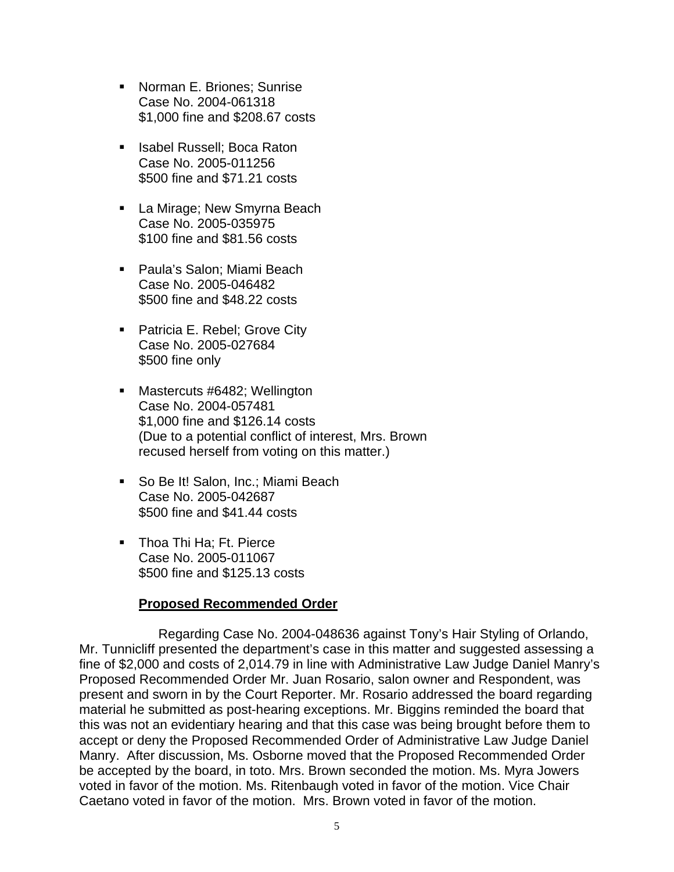- **Norman E. Briones: Sunrise** Case No. 2004-061318 \$1,000 fine and \$208.67 costs
- **In Isabel Russell: Boca Raton** Case No. 2005-011256 \$500 fine and \$71.21 costs
- **La Mirage; New Smyrna Beach** Case No. 2005-035975 \$100 fine and \$81.56 costs
- Paula's Salon; Miami Beach Case No. 2005-046482 \$500 fine and \$48.22 costs
- **Patricia E. Rebel; Grove City** Case No. 2005-027684 \$500 fine only
- Mastercuts #6482; Wellington Case No. 2004-057481 \$1,000 fine and \$126.14 costs (Due to a potential conflict of interest, Mrs. Brown recused herself from voting on this matter.)
- So Be It! Salon, Inc.; Miami Beach Case No. 2005-042687 \$500 fine and \$41.44 costs
- Thoa Thi Ha; Ft. Pierce Case No. 2005-011067 \$500 fine and \$125.13 costs

# **Proposed Recommended Order**

 Regarding Case No. 2004-048636 against Tony's Hair Styling of Orlando, Mr. Tunnicliff presented the department's case in this matter and suggested assessing a fine of \$2,000 and costs of 2,014.79 in line with Administrative Law Judge Daniel Manry's Proposed Recommended Order Mr. Juan Rosario, salon owner and Respondent, was present and sworn in by the Court Reporter. Mr. Rosario addressed the board regarding material he submitted as post-hearing exceptions. Mr. Biggins reminded the board that this was not an evidentiary hearing and that this case was being brought before them to accept or deny the Proposed Recommended Order of Administrative Law Judge Daniel Manry. After discussion, Ms. Osborne moved that the Proposed Recommended Order be accepted by the board, in toto. Mrs. Brown seconded the motion. Ms. Myra Jowers voted in favor of the motion. Ms. Ritenbaugh voted in favor of the motion. Vice Chair Caetano voted in favor of the motion. Mrs. Brown voted in favor of the motion.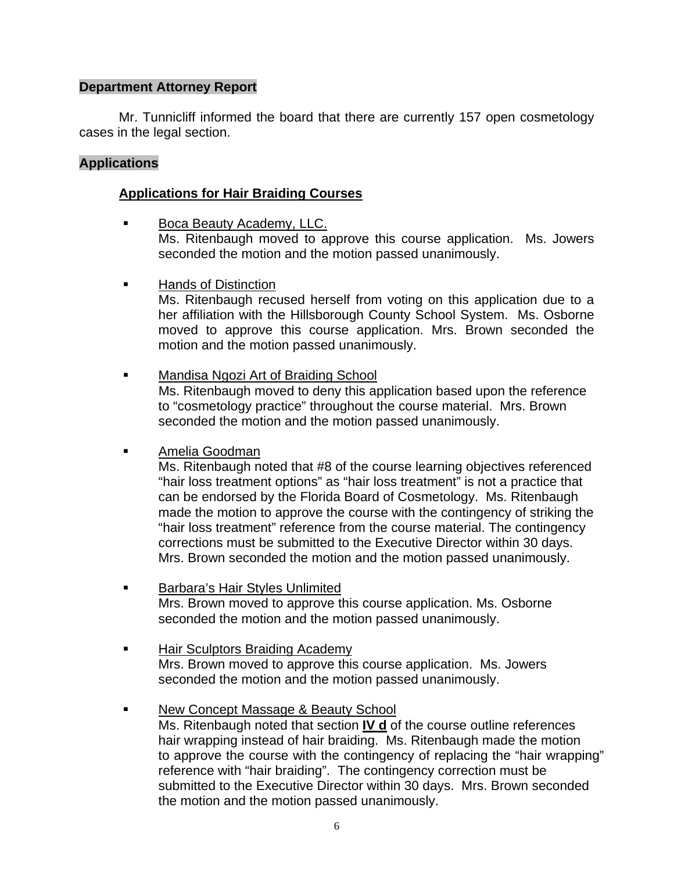# **Department Attorney Report**

Mr. Tunnicliff informed the board that there are currently 157 open cosmetology cases in the legal section.

# **Applications**

# **Applications for Hair Braiding Courses**

- **Boca Beauty Academy, LLC.**  Ms. Ritenbaugh moved to approve this course application. Ms. Jowers seconded the motion and the motion passed unanimously.
- Hands of Distinction

 Ms. Ritenbaugh recused herself from voting on this application due to a her affiliation with the Hillsborough County School System. Ms. Osborne moved to approve this course application. Mrs. Brown seconded the motion and the motion passed unanimously.

Mandisa Ngozi Art of Braiding School

 Ms. Ritenbaugh moved to deny this application based upon the reference to "cosmetology practice" throughout the course material. Mrs. Brown seconded the motion and the motion passed unanimously.

Amelia Goodman

 Ms. Ritenbaugh noted that #8 of the course learning objectives referenced "hair loss treatment options" as "hair loss treatment" is not a practice that can be endorsed by the Florida Board of Cosmetology. Ms. Ritenbaugh made the motion to approve the course with the contingency of striking the "hair loss treatment" reference from the course material. The contingency corrections must be submitted to the Executive Director within 30 days. Mrs. Brown seconded the motion and the motion passed unanimously.

- Barbara's Hair Styles Unlimited Mrs. Brown moved to approve this course application. Ms. Osborne seconded the motion and the motion passed unanimously.
- **Hair Sculptors Braiding Academy**  Mrs. Brown moved to approve this course application. Ms. Jowers seconded the motion and the motion passed unanimously.
- New Concept Massage & Beauty School

 Ms. Ritenbaugh noted that section **IV d** of the course outline references hair wrapping instead of hair braiding. Ms. Ritenbaugh made the motion to approve the course with the contingency of replacing the "hair wrapping" reference with "hair braiding". The contingency correction must be submitted to the Executive Director within 30 days. Mrs. Brown seconded the motion and the motion passed unanimously.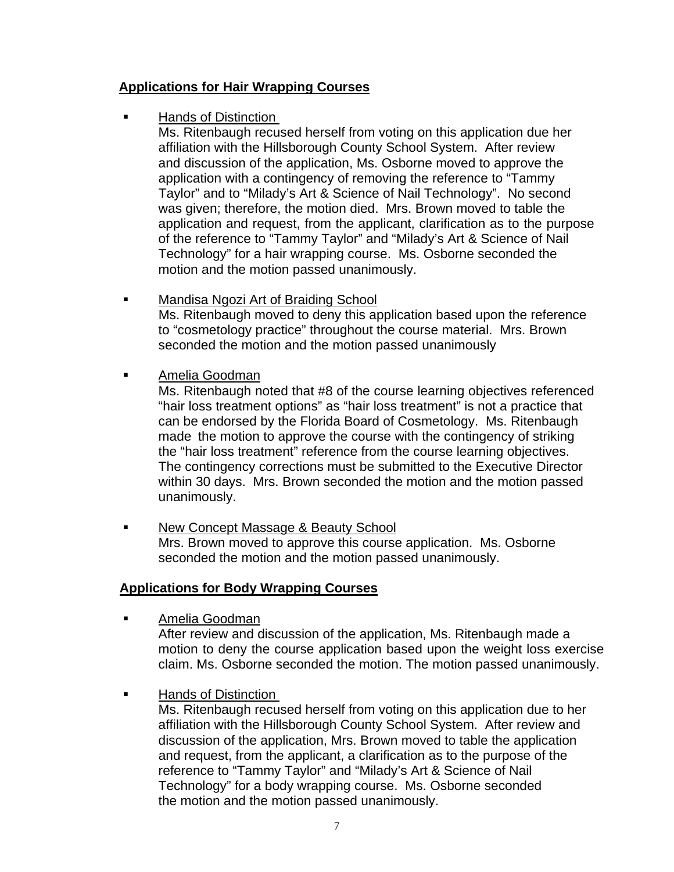# **Applications for Hair Wrapping Courses**

Hands of Distinction

 Ms. Ritenbaugh recused herself from voting on this application due her affiliation with the Hillsborough County School System. After review and discussion of the application, Ms. Osborne moved to approve the application with a contingency of removing the reference to "Tammy Taylor" and to "Milady's Art & Science of Nail Technology". No second was given; therefore, the motion died. Mrs. Brown moved to table the application and request, from the applicant, clarification as to the purpose of the reference to "Tammy Taylor" and "Milady's Art & Science of Nail Technology" for a hair wrapping course. Ms. Osborne seconded the motion and the motion passed unanimously.

- Mandisa Ngozi Art of Braiding School Ms. Ritenbaugh moved to deny this application based upon the reference to "cosmetology practice" throughout the course material. Mrs. Brown seconded the motion and the motion passed unanimously
- Amelia Goodman

 Ms. Ritenbaugh noted that #8 of the course learning objectives referenced "hair loss treatment options" as "hair loss treatment" is not a practice that can be endorsed by the Florida Board of Cosmetology. Ms. Ritenbaugh made the motion to approve the course with the contingency of striking the "hair loss treatment" reference from the course learning objectives. The contingency corrections must be submitted to the Executive Director within 30 days. Mrs. Brown seconded the motion and the motion passed unanimously.

**New Concept Massage & Beauty School**  Mrs. Brown moved to approve this course application. Ms. Osborne seconded the motion and the motion passed unanimously.

# **Applications for Body Wrapping Courses**

Amelia Goodman

 After review and discussion of the application, Ms. Ritenbaugh made a motion to deny the course application based upon the weight loss exercise claim. Ms. Osborne seconded the motion. The motion passed unanimously.

Hands of Distinction

 Ms. Ritenbaugh recused herself from voting on this application due to her affiliation with the Hillsborough County School System. After review and discussion of the application, Mrs. Brown moved to table the application and request, from the applicant, a clarification as to the purpose of the reference to "Tammy Taylor" and "Milady's Art & Science of Nail Technology" for a body wrapping course. Ms. Osborne seconded the motion and the motion passed unanimously.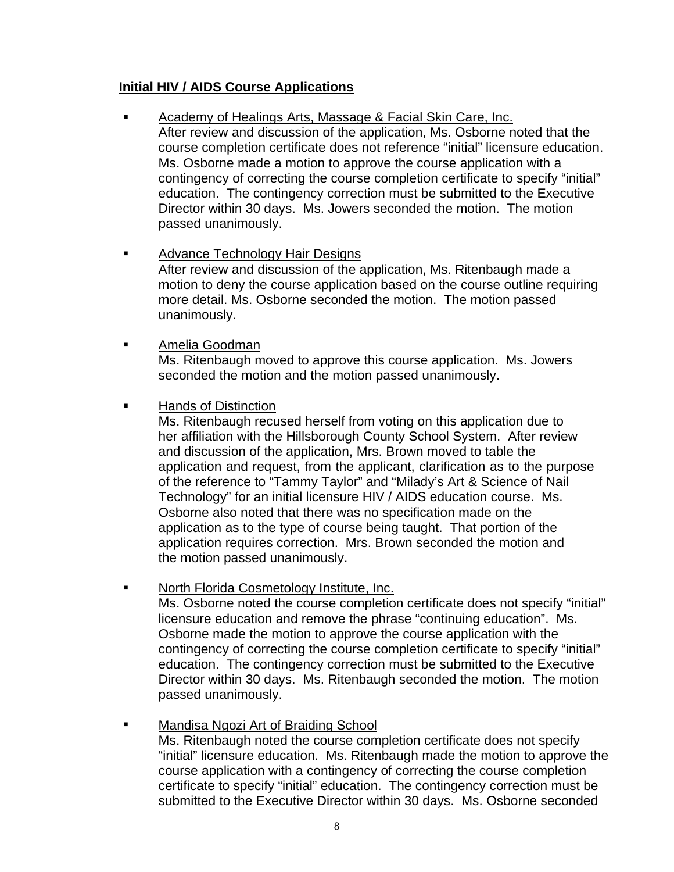# **Initial HIV / AIDS Course Applications**

 Academy of Healings Arts, Massage & Facial Skin Care, Inc. After review and discussion of the application, Ms. Osborne noted that the

 course completion certificate does not reference "initial" licensure education. Ms. Osborne made a motion to approve the course application with a contingency of correcting the course completion certificate to specify "initial" education. The contingency correction must be submitted to the Executive Director within 30 days. Ms. Jowers seconded the motion. The motion passed unanimously.

- **Advance Technology Hair Designs**  After review and discussion of the application, Ms. Ritenbaugh made a motion to deny the course application based on the course outline requiring more detail. Ms. Osborne seconded the motion. The motion passed unanimously.
- Amelia Goodman Ms. Ritenbaugh moved to approve this course application. Ms. Jowers seconded the motion and the motion passed unanimously.
- **Hands of Distinction**

 Ms. Ritenbaugh recused herself from voting on this application due to her affiliation with the Hillsborough County School System. After review and discussion of the application, Mrs. Brown moved to table the application and request, from the applicant, clarification as to the purpose of the reference to "Tammy Taylor" and "Milady's Art & Science of Nail Technology" for an initial licensure HIV / AIDS education course. Ms. Osborne also noted that there was no specification made on the application as to the type of course being taught. That portion of the application requires correction. Mrs. Brown seconded the motion and the motion passed unanimously.

North Florida Cosmetology Institute, Inc.

 Ms. Osborne noted the course completion certificate does not specify "initial" licensure education and remove the phrase "continuing education". Ms. Osborne made the motion to approve the course application with the contingency of correcting the course completion certificate to specify "initial" education. The contingency correction must be submitted to the Executive Director within 30 days. Ms. Ritenbaugh seconded the motion. The motion passed unanimously.

 Mandisa Ngozi Art of Braiding School Ms. Ritenbaugh noted the course completion certificate does not specify "initial" licensure education. Ms. Ritenbaugh made the motion to approve the course application with a contingency of correcting the course completion certificate to specify "initial" education. The contingency correction must be submitted to the Executive Director within 30 days. Ms. Osborne seconded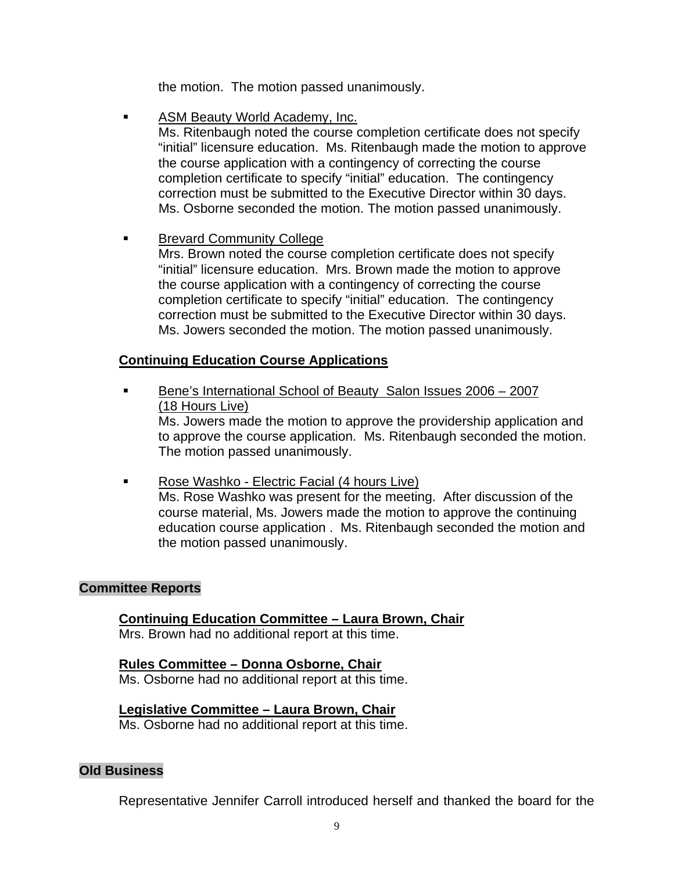the motion. The motion passed unanimously.

ASM Beauty World Academy, Inc.

 Ms. Ritenbaugh noted the course completion certificate does not specify "initial" licensure education. Ms. Ritenbaugh made the motion to approve the course application with a contingency of correcting the course completion certificate to specify "initial" education. The contingency correction must be submitted to the Executive Director within 30 days. Ms. Osborne seconded the motion. The motion passed unanimously.

### Brevard Community College

 Mrs. Brown noted the course completion certificate does not specify "initial" licensure education. Mrs. Brown made the motion to approve the course application with a contingency of correcting the course completion certificate to specify "initial" education. The contingency correction must be submitted to the Executive Director within 30 days. Ms. Jowers seconded the motion. The motion passed unanimously.

# **Continuing Education Course Applications**

 Bene's International School of Beauty Salon Issues 2006 – 2007 (18 Hours Live)

 Ms. Jowers made the motion to approve the providership application and to approve the course application. Ms. Ritenbaugh seconded the motion. The motion passed unanimously.

• Rose Washko - Electric Facial (4 hours Live) Ms. Rose Washko was present for the meeting. After discussion of the course material, Ms. Jowers made the motion to approve the continuing education course application . Ms. Ritenbaugh seconded the motion and the motion passed unanimously.

#### **Committee Reports**

# **Continuing Education Committee – Laura Brown, Chair**

Mrs. Brown had no additional report at this time.

#### **Rules Committee – Donna Osborne, Chair**

Ms. Osborne had no additional report at this time.

# **Legislative Committee – Laura Brown, Chair**

Ms. Osborne had no additional report at this time.

#### **Old Business**

Representative Jennifer Carroll introduced herself and thanked the board for the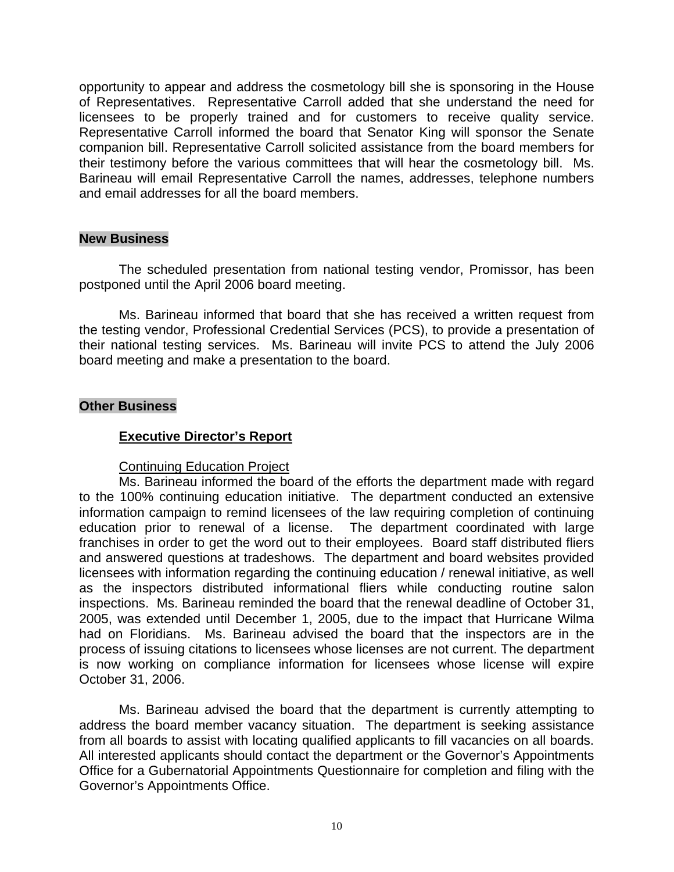opportunity to appear and address the cosmetology bill she is sponsoring in the House of Representatives. Representative Carroll added that she understand the need for licensees to be properly trained and for customers to receive quality service. Representative Carroll informed the board that Senator King will sponsor the Senate companion bill. Representative Carroll solicited assistance from the board members for their testimony before the various committees that will hear the cosmetology bill. Ms. Barineau will email Representative Carroll the names, addresses, telephone numbers and email addresses for all the board members.

### **New Business**

 The scheduled presentation from national testing vendor, Promissor, has been postponed until the April 2006 board meeting.

 Ms. Barineau informed that board that she has received a written request from the testing vendor, Professional Credential Services (PCS), to provide a presentation of their national testing services. Ms. Barineau will invite PCS to attend the July 2006 board meeting and make a presentation to the board.

### **Other Business**

## **Executive Director's Report**

#### Continuing Education Project

 Ms. Barineau informed the board of the efforts the department made with regard to the 100% continuing education initiative. The department conducted an extensive information campaign to remind licensees of the law requiring completion of continuing education prior to renewal of a license. The department coordinated with large franchises in order to get the word out to their employees. Board staff distributed fliers and answered questions at tradeshows. The department and board websites provided licensees with information regarding the continuing education / renewal initiative, as well as the inspectors distributed informational fliers while conducting routine salon inspections. Ms. Barineau reminded the board that the renewal deadline of October 31, 2005, was extended until December 1, 2005, due to the impact that Hurricane Wilma had on Floridians. Ms. Barineau advised the board that the inspectors are in the process of issuing citations to licensees whose licenses are not current. The department is now working on compliance information for licensees whose license will expire October 31, 2006.

 Ms. Barineau advised the board that the department is currently attempting to address the board member vacancy situation. The department is seeking assistance from all boards to assist with locating qualified applicants to fill vacancies on all boards. All interested applicants should contact the department or the Governor's Appointments Office for a Gubernatorial Appointments Questionnaire for completion and filing with the Governor's Appointments Office.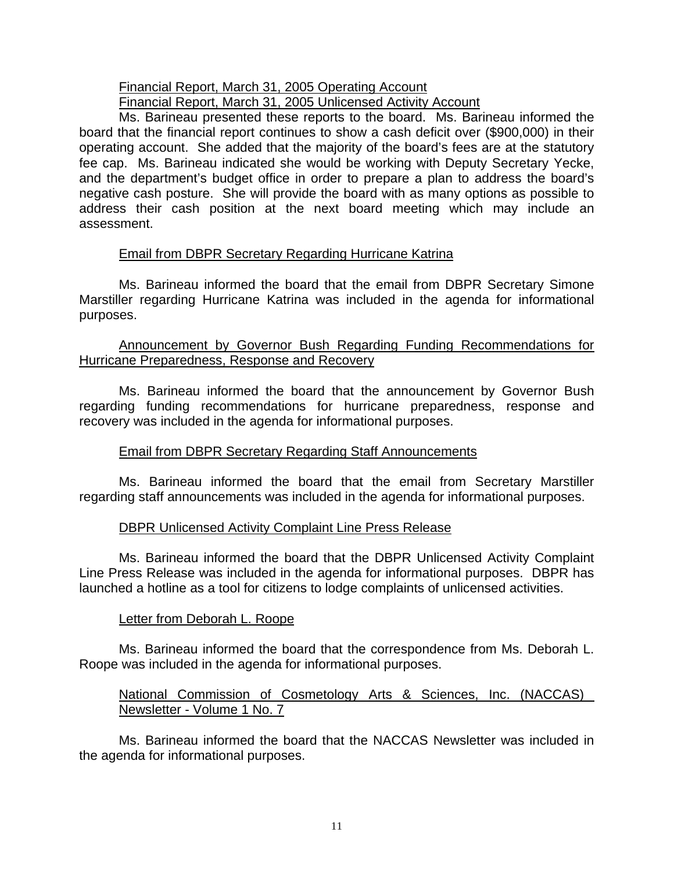#### Financial Report, March 31, 2005 Operating Account Financial Report, March 31, 2005 Unlicensed Activity Account

 Ms. Barineau presented these reports to the board. Ms. Barineau informed the board that the financial report continues to show a cash deficit over (\$900,000) in their operating account. She added that the majority of the board's fees are at the statutory fee cap. Ms. Barineau indicated she would be working with Deputy Secretary Yecke, and the department's budget office in order to prepare a plan to address the board's negative cash posture. She will provide the board with as many options as possible to address their cash position at the next board meeting which may include an assessment.

# Email from DBPR Secretary Regarding Hurricane Katrina

 Ms. Barineau informed the board that the email from DBPR Secretary Simone Marstiller regarding Hurricane Katrina was included in the agenda for informational purposes.

# Announcement by Governor Bush Regarding Funding Recommendations for Hurricane Preparedness, Response and Recovery

 Ms. Barineau informed the board that the announcement by Governor Bush regarding funding recommendations for hurricane preparedness, response and recovery was included in the agenda for informational purposes.

# Email from DBPR Secretary Regarding Staff Announcements

 Ms. Barineau informed the board that the email from Secretary Marstiller regarding staff announcements was included in the agenda for informational purposes.

# DBPR Unlicensed Activity Complaint Line Press Release

 Ms. Barineau informed the board that the DBPR Unlicensed Activity Complaint Line Press Release was included in the agenda for informational purposes. DBPR has launched a hotline as a tool for citizens to lodge complaints of unlicensed activities.

# Letter from Deborah L. Roope

 Ms. Barineau informed the board that the correspondence from Ms. Deborah L. Roope was included in the agenda for informational purposes.

# National Commission of Cosmetology Arts & Sciences, Inc. (NACCAS) Newsletter - Volume 1 No. 7

 Ms. Barineau informed the board that the NACCAS Newsletter was included in the agenda for informational purposes.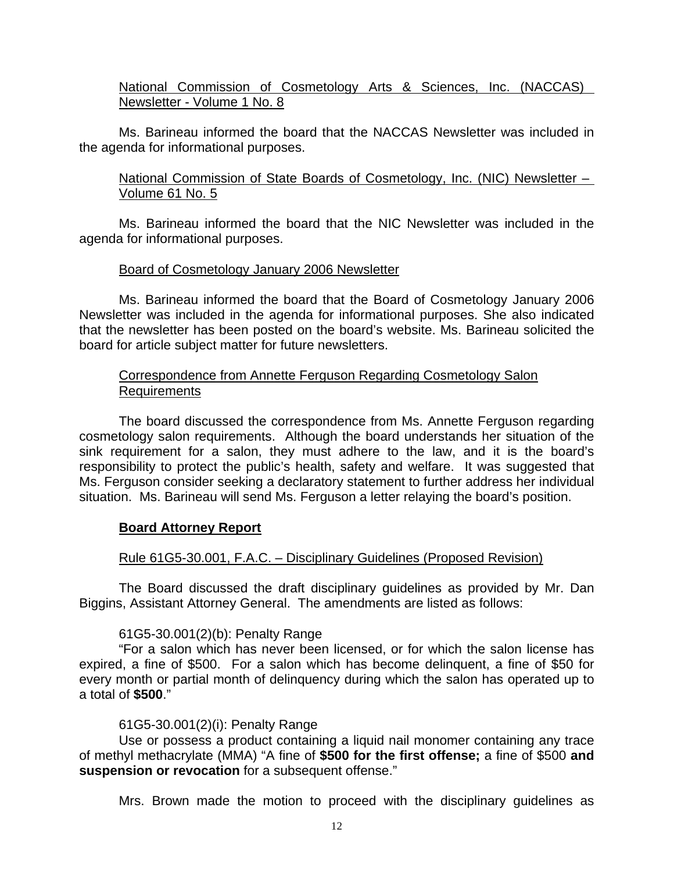# National Commission of Cosmetology Arts & Sciences, Inc. (NACCAS) Newsletter - Volume 1 No. 8

 Ms. Barineau informed the board that the NACCAS Newsletter was included in the agenda for informational purposes.

National Commission of State Boards of Cosmetology, Inc. (NIC) Newsletter -Volume 61 No. 5

 Ms. Barineau informed the board that the NIC Newsletter was included in the agenda for informational purposes.

# Board of Cosmetology January 2006 Newsletter

 Ms. Barineau informed the board that the Board of Cosmetology January 2006 Newsletter was included in the agenda for informational purposes. She also indicated that the newsletter has been posted on the board's website. Ms. Barineau solicited the board for article subject matter for future newsletters.

# Correspondence from Annette Ferguson Regarding Cosmetology Salon Requirements

 The board discussed the correspondence from Ms. Annette Ferguson regarding cosmetology salon requirements. Although the board understands her situation of the sink requirement for a salon, they must adhere to the law, and it is the board's responsibility to protect the public's health, safety and welfare. It was suggested that Ms. Ferguson consider seeking a declaratory statement to further address her individual situation. Ms. Barineau will send Ms. Ferguson a letter relaying the board's position.

# **Board Attorney Report**

# Rule 61G5-30.001, F.A.C. – Disciplinary Guidelines (Proposed Revision)

 The Board discussed the draft disciplinary guidelines as provided by Mr. Dan Biggins, Assistant Attorney General. The amendments are listed as follows:

# 61G5-30.001(2)(b): Penalty Range

 "For a salon which has never been licensed, or for which the salon license has expired, a fine of \$500. For a salon which has become delinquent, a fine of \$50 for every month or partial month of delinquency during which the salon has operated up to a total of **\$500**."

# 61G5-30.001(2)(i): Penalty Range

 Use or possess a product containing a liquid nail monomer containing any trace of methyl methacrylate (MMA) "A fine of **\$500 for the first offense;** a fine of \$500 **and suspension or revocation** for a subsequent offense."

Mrs. Brown made the motion to proceed with the disciplinary guidelines as